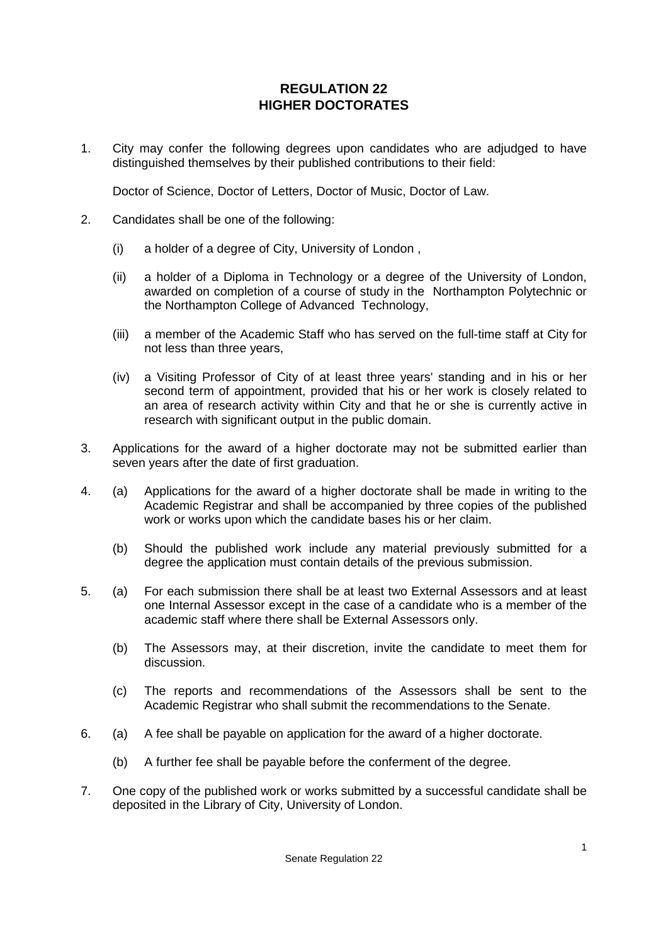## **REGULATION 22 HIGHER DOCTORATES**

1. City may confer the following degrees upon candidates who are adjudged to have distinguished themselves by their published contributions to their field:

Doctor of Science, Doctor of Letters, Doctor of Music, Doctor of Law.

- 2. Candidates shall be one of the following:
	- (i) a holder of a degree of City, University of London ,
	- (ii) a holder of a Diploma in Technology or a degree of the University of London, awarded on completion of a course of study in the Northampton Polytechnic or the Northampton College of Advanced Technology,
	- (iii) a member of the Academic Staff who has served on the full-time staff at City for not less than three years,
	- (iv) a Visiting Professor of City of at least three years' standing and in his or her second term of appointment, provided that his or her work is closely related to an area of research activity within City and that he or she is currently active in research with significant output in the public domain.
- 3. Applications for the award of a higher doctorate may not be submitted earlier than seven years after the date of first graduation.
- 4. (a) Applications for the award of a higher doctorate shall be made in writing to the Academic Registrar and shall be accompanied by three copies of the published work or works upon which the candidate bases his or her claim.
	- (b) Should the published work include any material previously submitted for a degree the application must contain details of the previous submission.
- 5. (a) For each submission there shall be at least two External Assessors and at least one Internal Assessor except in the case of a candidate who is a member of the academic staff where there shall be External Assessors only.
	- (b) The Assessors may, at their discretion, invite the candidate to meet them for discussion.
	- (c) The reports and recommendations of the Assessors shall be sent to the Academic Registrar who shall submit the recommendations to the Senate.
- 6. (a) A fee shall be payable on application for the award of a higher doctorate.
	- (b) A further fee shall be payable before the conferment of the degree.
- 7. One copy of the published work or works submitted by a successful candidate shall be deposited in the Library of City, University of London.